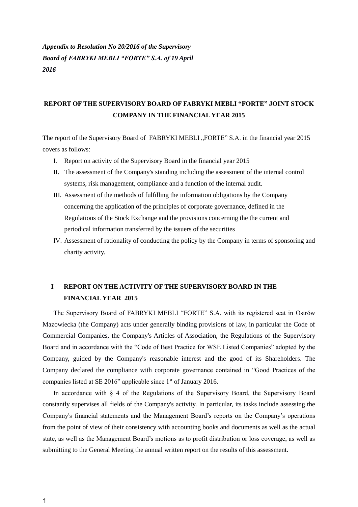*Appendix to Resolution No 20/2016 of the Supervisory Board of FABRYKI MEBLI "FORTE" S.A. of 19 April 2016*

## **REPORT OF THE SUPERVISORY BOARD OF FABRYKI MEBLI "FORTE" JOINT STOCK COMPANY IN THE FINANCIAL YEAR 2015**

The report of the Supervisory Board of FABRYKI MEBLI "FORTE" S.A. in the financial year 2015 covers as follows:

- I. Report on activity of the Supervisory Board in the financial year 2015
- II. The assessment of the Company's standing including the assessment of the internal control systems, risk management, compliance and a function of the internal audit.
- III. Assessment of the methods of fulfilling the information obligations by the Company concerning the application of the principles of corporate governance, defined in the Regulations of the Stock Exchange and the provisions concerning the the current and periodical information transferred by the issuers of the securities
- IV. Assessment of rationality of conducting the policy by the Company in terms of sponsoring and charity activity.

### **I REPORT ON THE ACTIVITY OF THE SUPERVISORY BOARD IN THE FINANCIAL YEAR 2015**

The Supervisory Board of FABRYKI MEBLI "FORTE" S.A. with its registered seat in Ostrów Mazowiecka (the Company) acts under generally binding provisions of law, in particular the Code of Commercial Companies, the Company's Articles of Association, the Regulations of the Supervisory Board and in accordance with the "Code of Best Practice for WSE Listed Companies" adopted by the Company, guided by the Company's reasonable interest and the good of its Shareholders. The Company declared the compliance with corporate governance contained in "Good Practices of the companies listed at SE 2016" applicable since 1<sup>st</sup> of January 2016.

In accordance with § 4 of the Regulations of the Supervisory Board, the Supervisory Board constantly supervises all fields of the Company's activity. In particular, its tasks include assessing the Company's financial statements and the Management Board's reports on the Company's operations from the point of view of their consistency with accounting books and documents as well as the actual state, as well as the Management Board's motions as to profit distribution or loss coverage, as well as submitting to the General Meeting the annual written report on the results of this assessment.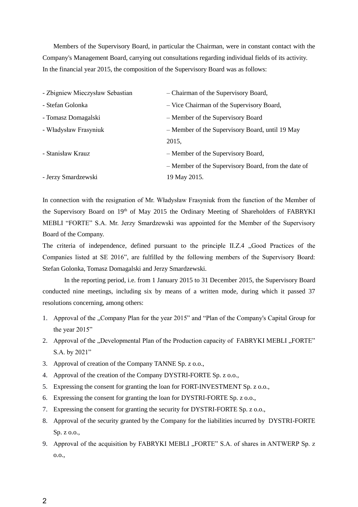Members of the Supervisory Board, in particular the Chairman, were in constant contact with the Company's Management Board, carrying out consultations regarding individual fields of its activity. In the financial year 2015, the composition of the Supervisory Board was as follows:

| - Zbigniew Mieczysław Sebastian | - Chairman of the Supervisory Board,                |
|---------------------------------|-----------------------------------------------------|
| - Stefan Golonka                | - Vice Chairman of the Supervisory Board,           |
| - Tomasz Domagalski             | - Member of the Supervisory Board                   |
| - Władysław Frasyniuk           | - Member of the Supervisory Board, until 19 May     |
|                                 | 2015,                                               |
| - Stanisław Krauz               | - Member of the Supervisory Board,                  |
|                                 | - Member of the Supervisory Board, from the date of |
| - Jerzy Smardzewski             | 19 May 2015.                                        |

In connection with the resignation of Mr. Władysław Frasyniuk from the function of the Member of the Supervisory Board on 19<sup>th</sup> of May 2015 the Ordinary Meeting of Shareholders of FABRYKI MEBLI "FORTE" S.A. Mr. Jerzy Smardzewski was appointed for the Member of the Supervisory Board of the Company.

The criteria of independence, defined pursuant to the principle II.Z.4 "Good Practices of the Companies listed at SE 2016", are fulfilled by the following members of the Supervisory Board: Stefan Golonka, Tomasz Domagalski and Jerzy Smardzewski.

In the reporting period, i.e. from 1 January 2015 to 31 December 2015, the Supervisory Board conducted nine meetings, including six by means of a written mode, during which it passed 37 resolutions concerning, among others:

- 1. Approval of the "Company Plan for the year 2015" and "Plan of the Company's Capital Group for the year 2015"
- 2. Approval of the ..Developmental Plan of the Production capacity of FABRYKI MEBLI ..FORTE" S.A. by 2021"
- 3. Approval of creation of the Company TANNE Sp. z o.o.,
- 4. Approval of the creation of the Company DYSTRI-FORTE Sp. z o.o.,
- 5. Expressing the consent for granting the loan for FORT-INVESTMENT Sp. z o.o.,
- 6. Expressing the consent for granting the loan for DYSTRI-FORTE Sp. z o.o.,
- 7. Expressing the consent for granting the security for DYSTRI-FORTE Sp. z o.o.,
- 8. Approval of the security granted by the Company for the liabilities incurred by DYSTRI-FORTE Sp. z o.o.,
- 9. Approval of the acquisition by FABRYKI MEBLI "FORTE" S.A. of shares in ANTWERP Sp. z o.o.,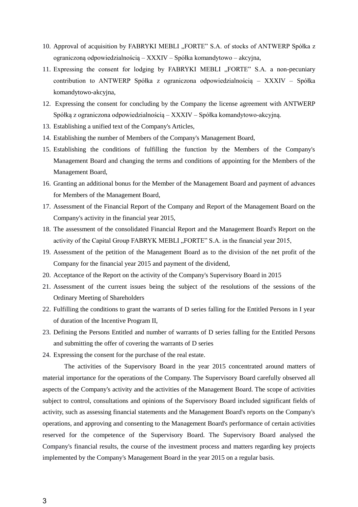- 10. Approval of acquisition by FABRYKI MEBLI "FORTE" S.A. of stocks of ANTWERP Spółka z ograniczoną odpowiedzialnością – XXXIV – Spółka komandytowo – akcyjna,
- 11. Expressing the consent for lodging by FABRYKI MEBLI "FORTE" S.A. a non-pecuniary contribution to ANTWERP Spółka z ograniczona odpowiedzialnością – XXXIV – Spółka komandytowo-akcyjna,
- 12. Expressing the consent for concluding by the Company the license agreement with ANTWERP Spółką z ograniczona odpowiedzialnością – XXXIV – Spółka komandytowo-akcyjną.
- 13. Establishing a unified text of the Company's Articles,
- 14. Establishing the number of Members of the Company's Management Board,
- 15. Establishing the conditions of fulfilling the function by the Members of the Company's Management Board and changing the terms and conditions of appointing for the Members of the Management Board,
- 16. Granting an additional bonus for the Member of the Management Board and payment of advances for Members of the Management Board,
- 17. Assessment of the Financial Report of the Company and Report of the Management Board on the Company's activity in the financial year 2015,
- 18. The assessment of the consolidated Financial Report and the Management Board's Report on the activity of the Capital Group FABRYK MEBLI "FORTE" S.A. in the financial year 2015,
- 19. Assessment of the petition of the Management Board as to the division of the net profit of the Company for the financial year 2015 and payment of the dividend,
- 20. Acceptance of the Report on the activity of the Company's Supervisory Board in 2015
- 21. Assessment of the current issues being the subject of the resolutions of the sessions of the Ordinary Meeting of Shareholders
- 22. Fulfilling the conditions to grant the warrants of D series falling for the Entitled Persons in I year of duration of the Incentive Program II,
- 23. Defining the Persons Entitled and number of warrants of D series falling for the Entitled Persons and submitting the offer of covering the warrants of D series
- 24. Expressing the consent for the purchase of the real estate.

The activities of the Supervisory Board in the year 2015 concentrated around matters of material importance for the operations of the Company. The Supervisory Board carefully observed all aspects of the Company's activity and the activities of the Management Board. The scope of activities subject to control, consultations and opinions of the Supervisory Board included significant fields of activity, such as assessing financial statements and the Management Board's reports on the Company's operations, and approving and consenting to the Management Board's performance of certain activities reserved for the competence of the Supervisory Board. The Supervisory Board analysed the Company's financial results, the course of the investment process and matters regarding key projects implemented by the Company's Management Board in the year 2015 on a regular basis.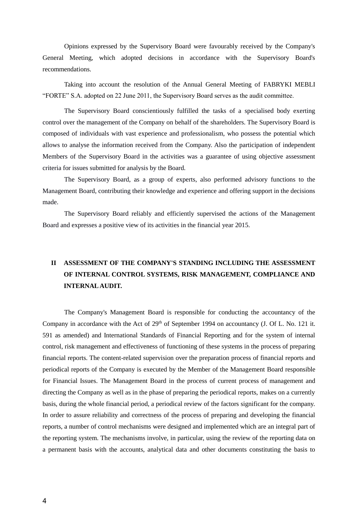Opinions expressed by the Supervisory Board were favourably received by the Company's General Meeting, which adopted decisions in accordance with the Supervisory Board's recommendations.

Taking into account the resolution of the Annual General Meeting of FABRYKI MEBLI "FORTE" S.A. adopted on 22 June 2011, the Supervisory Board serves as the audit committee.

The Supervisory Board conscientiously fulfilled the tasks of a specialised body exerting control over the management of the Company on behalf of the shareholders. The Supervisory Board is composed of individuals with vast experience and professionalism, who possess the potential which allows to analyse the information received from the Company. Also the participation of independent Members of the Supervisory Board in the activities was a guarantee of using objective assessment criteria for issues submitted for analysis by the Board.

The Supervisory Board, as a group of experts, also performed advisory functions to the Management Board, contributing their knowledge and experience and offering support in the decisions made.

The Supervisory Board reliably and efficiently supervised the actions of the Management Board and expresses a positive view of its activities in the financial year 2015.

## **II ASSESSMENT OF THE COMPANY'S STANDING INCLUDING THE ASSESSMENT OF INTERNAL CONTROL SYSTEMS, RISK MANAGEMENT, COMPLIANCE AND INTERNAL AUDIT.**

The Company's Management Board is responsible for conducting the accountancy of the Company in accordance with the Act of  $29<sup>th</sup>$  of September 1994 on accountancy (J. Of L. No. 121 it. 591 as amended) and International Standards of Financial Reporting and for the system of internal control, risk management and effectiveness of functioning of these systems in the process of preparing financial reports. The content-related supervision over the preparation process of financial reports and periodical reports of the Company is executed by the Member of the Management Board responsible for Financial Issues. The Management Board in the process of current process of management and directing the Company as well as in the phase of preparing the periodical reports, makes on a currently basis, during the whole financial period, a periodical review of the factors significant for the company. In order to assure reliability and correctness of the process of preparing and developing the financial reports, a number of control mechanisms were designed and implemented which are an integral part of the reporting system. The mechanisms involve, in particular, using the review of the reporting data on a permanent basis with the accounts, analytical data and other documents constituting the basis to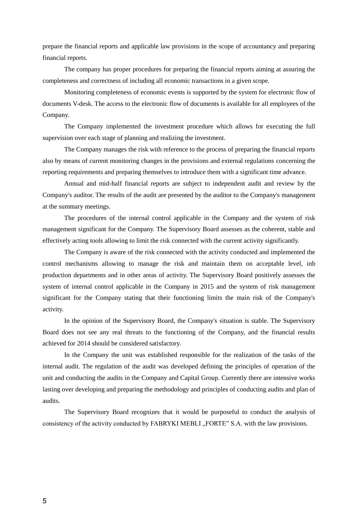prepare the financial reports and applicable law provisions in the scope of accountancy and preparing financial reports.

The company has proper procedures for preparing the financial reports aiming at assuring the completeness and correctness of including all economic transactions in a given scope.

Monitoring completeness of economic events is supported by the system for electronic flow of documents V-desk. The access to the electronic flow of documents is available for all employees of the Company.

The Company implemented the investment procedure which allows for executing the full supervision over each stage of planning and realizing the investment.

The Company manages the risk with reference to the process of preparing the financial reports also by means of current monitoring changes in the provisions and external regulations concerning the reporting requirements and preparing themselves to introduce them with a significant time advance.

Annual and mid-half financial reports are subject to independent audit and review by the Company's auditor. The results of the audit are presented by the auditor to the Company's management at the summary meetings.

The procedures of the internal control applicable in the Company and the system of risk management significant for the Company. The Supervisory Board assesses as the coherent, stable and effectively acting tools allowing to limit the risk connected with the current activity significantly.

The Company is aware of the risk connected with the activity conducted and implemented the control mechanisms allowing to manage the risk and maintain them on acceptable level, inb production departments and in other areas of activity. The Supervisory Board positively assesses the system of internal control applicable in the Company in 2015 and the system of risk management significant for the Company stating that their functioning limits the main risk of the Company's activity.

In the opinion of the Supervisory Board, the Company's situation is stable. The Supervisory Board does not see any real threats to the functioning of the Company, and the financial results achieved for 2014 should be considered satisfactory.

In the Company the unit was established responsible for the realization of the tasks of the internal audit. The regulation of the audit was developed defining the principles of operation of the unit and conducting the audits in the Company and Capital Group. Currently there are intensive works lasting over developing and preparing the methodology and principles of conducting audits and plan of audits.

The Supervisory Board recognizes that it would be purposeful to conduct the analysis of consistency of the activity conducted by FABRYKI MEBLI "FORTE" S.A. with the law provisions.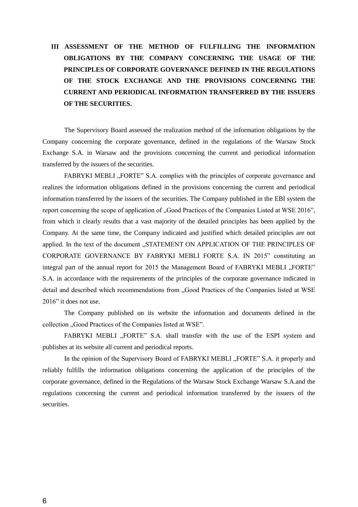# **III ASSESSMENT OF THE METHOD OF FULFILLING THE INFORMATION OBLIGATIONS BY THE COMPANY CONCERNING THE USAGE OF THE PRINCIPLES OF CORPORATE GOVERNANCE DEFINED IN THE REGULATIONS OF THE STOCK EXCHANGE AND THE PROVISIONS CONCERNING THE CURRENT AND PERIODICAL INFORMATION TRANSFERRED BY THE ISSUERS OF THE SECURITIES.**

The Supervisory Board assessed the realization method of the information obligations by the Company concerning the corporate governance, defined in the regulations of the Warsaw Stock Exchange S.A. in Warsaw and the provisions concerning the current and periodical information transferred by the issuers of the securities.

FABRYKI MEBLI "FORTE" S.A. complies with the principles of corporate governance and realizes the information obligations defined in the provisions concerning the current and periodical information transferred by the issuers of the securities. The Company published in the EBI system the report concerning the scope of application of "Good Practices of the Companies Listed at WSE 2016", from which it clearly results that a vast majority of the detailed principles has been applied by the Company. At the same time, the Company indicated and justified which detailed principles are not applied. In the text of the document "STATEMENT ON APPLICATION OF THE PRINCIPLES OF CORPORATE GOVERNANCE BY FABRYKI MEBLI FORTE S.A. IN 2015" constituting an integral part of the annual report for 2015 the Management Board of FABRYKI MEBLI "FORTE" S.A. in accordance with the requirements of the principles of the corporate governance indicated in detail and described which recommendations from "Good Practices of the Companies listed at WSE 2016" it does not use.

The Company published on its website the information and documents defined in the collection "Good Practices of the Companies listed at WSE".

FABRYKI MEBLI "FORTE" S.A. shall transfer with the use of the ESPI system and publishes at its website all current and periodical reports.

In the opinion of the Supervisory Board of FABRYKI MEBLI "FORTE" S.A. it properly and reliably fulfills the information obligations concerning the application of the principles of the corporate governance, defined in the Regulations of the Warsaw Stock Exchange Warsaw S.A.and the regulations concerning the current and periodical information transferred by the issuers of the securities.